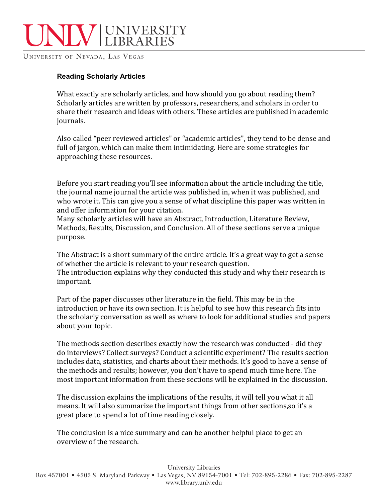

UNIVERSITY OF NEVADA, LAS VEGAS

## **Reading Scholarly Articles**

What exactly are scholarly articles, and how should you go about reading them? Scholarly articles are written by professors, researchers, and scholars in order to share their research and ideas with others. These articles are published in academic journals. 

Also called "peer reviewed articles" or "academic articles", they tend to be dense and full of jargon, which can make them intimidating. Here are some strategies for approaching these resources.

Before you start reading you'll see information about the article including the title, the journal name journal the article was published in, when it was published, and who wrote it. This can give you a sense of what discipline this paper was written in and offer information for your citation.

Many scholarly articles will have an Abstract, Introduction, Literature Review, Methods, Results, Discussion, and Conclusion. All of these sections serve a unique purpose. 

The Abstract is a short summary of the entire article. It's a great way to get a sense of whether the article is relevant to your research question. The introduction explains why they conducted this study and why their research is important. 

Part of the paper discusses other literature in the field. This may be in the introduction or have its own section. It is helpful to see how this research fits into the scholarly conversation as well as where to look for additional studies and papers about your topic.

The methods section describes exactly how the research was conducted - did they do interviews? Collect surveys? Conduct a scientific experiment? The results section includes data, statistics, and charts about their methods. It's good to have a sense of the methods and results; however, you don't have to spend much time here. The most important information from these sections will be explained in the discussion.

The discussion explains the implications of the results, it will tell you what it all means. It will also summarize the important things from other sections, so it's a great place to spend a lot of time reading closely.

The conclusion is a nice summary and can be another helpful place to get an overview of the research.